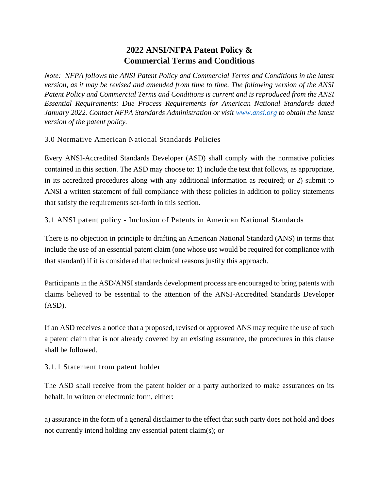# **2022 ANSI/NFPA Patent Policy & Commercial Terms and Conditions**

*Note: NFPA follows the ANSI Patent Policy and Commercial Terms and Conditions in the latest version, as it may be revised and amended from time to time. The following version of the ANSI Patent Policy and Commercial Terms and Conditions is current and is reproduced from the ANSI Essential Requirements: Due Process Requirements for American National Standards dated January 2022. Contact NFPA Standards Administration or visit [www.ansi.org](http://www.ansi.org/) to obtain the latest version of the patent policy.*

3.0 Normative American National Standards Policies

Every ANSI-Accredited Standards Developer (ASD) shall comply with the normative policies contained in this section. The ASD may choose to: 1) include the text that follows, as appropriate, in its accredited procedures along with any additional information as required; or 2) submit to ANSI a written statement of full compliance with these policies in addition to policy statements that satisfy the requirements set-forth in this section.

3.1 ANSI patent policy - Inclusion of Patents in American National Standards

There is no objection in principle to drafting an American National Standard (ANS) in terms that include the use of an essential patent claim (one whose use would be required for compliance with that standard) if it is considered that technical reasons justify this approach.

Participants in the ASD/ANSI standards development process are encouraged to bring patents with claims believed to be essential to the attention of the ANSI-Accredited Standards Developer (ASD).

If an ASD receives a notice that a proposed, revised or approved ANS may require the use of such a patent claim that is not already covered by an existing assurance, the procedures in this clause shall be followed.

3.1.1 Statement from patent holder

The ASD shall receive from the patent holder or a party authorized to make assurances on its behalf, in written or electronic form, either:

a) assurance in the form of a general disclaimer to the effect that such party does not hold and does not currently intend holding any essential patent claim(s); or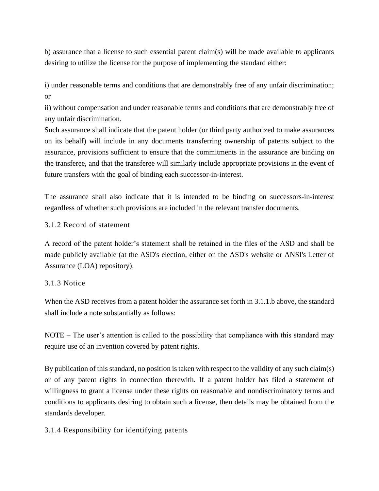b) assurance that a license to such essential patent claim(s) will be made available to applicants desiring to utilize the license for the purpose of implementing the standard either:

i) under reasonable terms and conditions that are demonstrably free of any unfair discrimination; or

ii) without compensation and under reasonable terms and conditions that are demonstrably free of any unfair discrimination.

Such assurance shall indicate that the patent holder (or third party authorized to make assurances on its behalf) will include in any documents transferring ownership of patents subject to the assurance, provisions sufficient to ensure that the commitments in the assurance are binding on the transferee, and that the transferee will similarly include appropriate provisions in the event of future transfers with the goal of binding each successor-in-interest.

The assurance shall also indicate that it is intended to be binding on successors-in-interest regardless of whether such provisions are included in the relevant transfer documents.

# 3.1.2 Record of statement

A record of the patent holder's statement shall be retained in the files of the ASD and shall be made publicly available (at the ASD's election, either on the ASD's website or ANSI's Letter of Assurance (LOA) repository).

## 3.1.3 Notice

When the ASD receives from a patent holder the assurance set forth in 3.1.1.b above, the standard shall include a note substantially as follows:

NOTE – The user's attention is called to the possibility that compliance with this standard may require use of an invention covered by patent rights.

By publication of this standard, no position is taken with respect to the validity of any such claim(s) or of any patent rights in connection therewith. If a patent holder has filed a statement of willingness to grant a license under these rights on reasonable and nondiscriminatory terms and conditions to applicants desiring to obtain such a license, then details may be obtained from the standards developer.

#### 3.1.4 Responsibility for identifying patents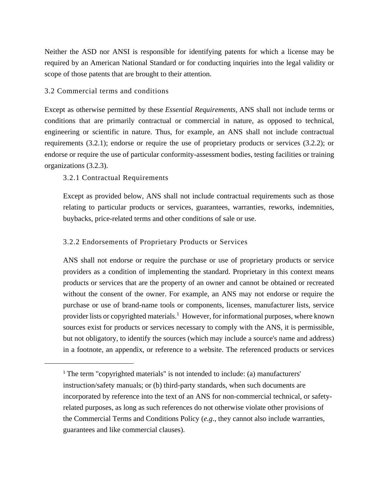Neither the ASD nor ANSI is responsible for identifying patents for which a license may be required by an American National Standard or for conducting inquiries into the legal validity or scope of those patents that are brought to their attention.

## 3.2 Commercial terms and conditions

Except as otherwise permitted by these *Essential Requirements,* ANS shall not include terms or conditions that are primarily contractual or commercial in nature, as opposed to technical, engineering or scientific in nature. Thus, for example, an ANS shall not include contractual requirements (3.2.1); endorse or require the use of proprietary products or services (3.2.2); or endorse or require the use of particular conformity-assessment bodies, testing facilities or training organizations (3.2.3).

3.2.1 Contractual Requirements

Except as provided below, ANS shall not include contractual requirements such as those relating to particular products or services, guarantees, warranties, reworks, indemnities, buybacks, price-related terms and other conditions of sale or use.

## 3.2.2 Endorsements of Proprietary Products or Services

ANS shall not endorse or require the purchase or use of proprietary products or service providers as a condition of implementing the standard. Proprietary in this context means products or services that are the property of an owner and cannot be obtained or recreated without the consent of the owner. For example, an ANS may not endorse or require the purchase or use of brand-name tools or components, licenses, manufacturer lists, service provider lists or copyrighted materials.<sup>1</sup> However, for informational purposes, where known sources exist for products or services necessary to comply with the ANS, it is permissible, but not obligatory, to identify the sources (which may include a source's name and address) in a footnote, an appendix, or reference to a website. The referenced products or services

<sup>&</sup>lt;sup>1</sup> The term "copyrighted materials" is not intended to include: (a) manufacturers' instruction/safety manuals; or (b) third-party standards, when such documents are incorporated by reference into the text of an ANS for non-commercial technical, or safetyrelated purposes, as long as such references do not otherwise violate other provisions of the Commercial Terms and Conditions Policy (*e.g*., they cannot also include warranties, guarantees and like commercial clauses).